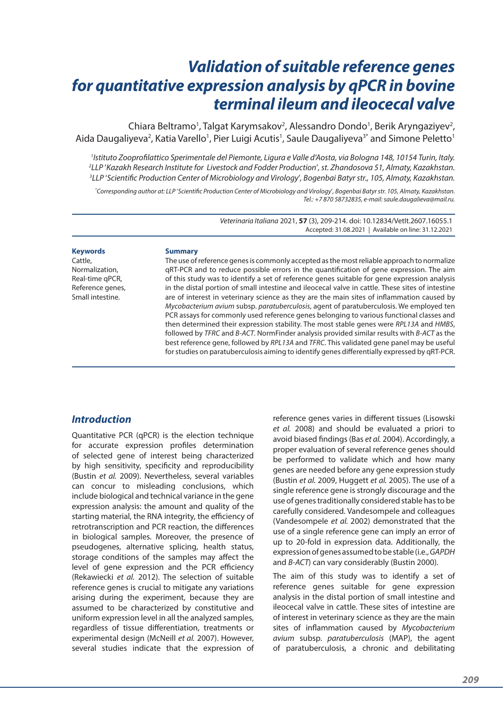# *Validation of suitable reference genes for quantitative expression analysis by qPCR in bovine terminal ileum and ileocecal valve*

Chiara Beltramo<sup>1</sup>, Talgat Karymsakov<sup>2</sup>, Alessandro Dondo<sup>1</sup>, Berik Aryngaziyev<sup>2</sup>, Aida Daugaliyeva<sup>2</sup>, Katia Varello<sup>1</sup>, Pier Luigi Acutis<sup>1</sup>, Saule Daugaliyeva<sup>3\*</sup> and Simone Peletto<sup>1</sup>

*1 Istituto Zooprofilattico Sperimentale del Piemonte, Ligura e Valle d'Aosta, via Bologna 148, 10154 Turin, Italy. 2 LLP* '*Kazakh Research Institute for Livestock and Fodder Production*'*, st. Zhandosova 51, Almaty, Kazakhstan. 3 LLP* '*Scientific Production Center of Microbiology and Virology*'*, Bogenbai Batyr str., 105, Almaty, Kazakhstan.*

*\* Corresponding author at: LLP* '*Scientific Production Center of Microbiology and Virology*'*, Bogenbai Batyr str. 105, Almaty, Kazakhstan. Tel.: +7 870 58732835, e-mail: saule.daugalieva@mail.ru.*

> *Veterinaria Italiana* 2021, **57** (3), 209-214. doi: 10.12834/VetIt.2607.16055.1 Accepted: 31.08.2021 | Available on line: 31.12.2021

#### **Keywords**

Cattle, Normalization, Real-time qPCR, Reference genes, Small intestine.

#### **Summary**

The use of reference genes is commonly accepted as the most reliable approach to normalize qRT-PCR and to reduce possible errors in the quantification of gene expression. The aim of this study was to identify a set of reference genes suitable for gene expression analysis in the distal portion of small intestine and ileocecal valve in cattle. These sites of intestine are of interest in veterinary science as they are the main sites of inflammation caused by *Mycobacterium avium* subsp. *paratuberculosis*, agent of paratuberculosis. We employed ten PCR assays for commonly used reference genes belonging to various functional classes and then determined their expression stability. The most stable genes were *RPL13A* and *HMBS*, followed by *TFRC* and *B-ACT*. NormFinder analysis provided similar results with *B-ACT* as the best reference gene, followed by *RPL13A* and *TFRC*. This validated gene panel may be useful for studies on paratuberculosis aiming to identify genes differentially expressed by qRT-PCR.

## *Introduction*

Quantitative PCR (qPCR) is the election technique for accurate expression profiles determination of selected gene of interest being characterized by high sensitivity, specificity and reproducibility (Bustin *et al.* 2009). Nevertheless, several variables can concur to misleading conclusions, which include biological and technical variance in the gene expression analysis: the amount and quality of the starting material, the RNA integrity, the efficiency of retrotranscription and PCR reaction, the differences in biological samples. Moreover, the presence of pseudogenes, alternative splicing, health status, storage conditions of the samples may affect the level of gene expression and the PCR efficiency (Rekawiecki *et al.* 2012). The selection of suitable reference genes is crucial to mitigate any variations arising during the experiment, because they are assumed to be characterized by constitutive and uniform expression level in all the analyzed samples, regardless of tissue differentiation, treatments or experimental design (McNeill *et al.* 2007). However, several studies indicate that the expression of reference genes varies in different tissues (Lisowski *et al.* 2008) and should be evaluated a priori to avoid biased findings (Bas *et al.* 2004). Accordingly, a proper evaluation of several reference genes should be performed to validate which and how many genes are needed before any gene expression study (Bustin *et al.* 2009, Huggett *et al.* 2005). The use of a single reference gene is strongly discourage and the use of genes traditionally considered stable has to be carefully considered. Vandesompele and colleagues (Vandesompele *et al.* 2002) demonstrated that the use of a single reference gene can imply an error of up to 20-fold in expression data. Additionally, the expression of genes assumed to be stable (i.e., *GAPDH* and *B-ACT*) can vary considerably (Bustin 2000).

The aim of this study was to identify a set of reference genes suitable for gene expression analysis in the distal portion of small intestine and ileocecal valve in cattle. These sites of intestine are of interest in veterinary science as they are the main sites of inflammation caused by *Mycobacterium avium* subsp. *paratuberculosis* (MAP), the agent of paratuberculosis, a chronic and debilitating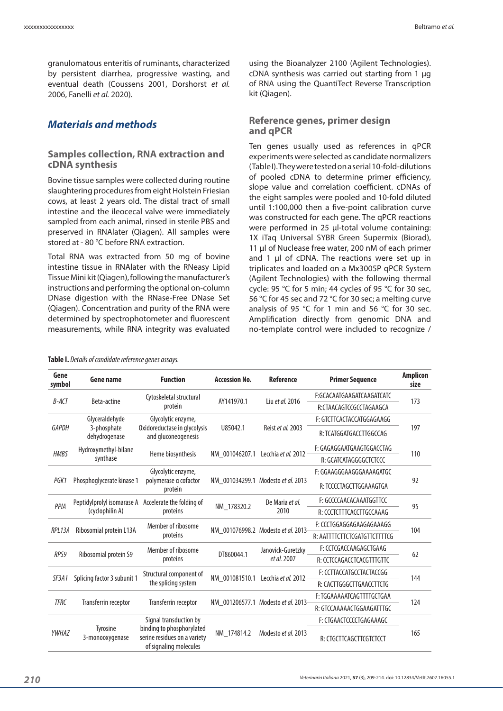granulomatous enteritis of ruminants, characterized by persistent diarrhea, progressive wasting, and eventual death (Coussens 2001, Dorshorst *et al.* 2006, Fanelli *et al.* 2020).

# *Materials and methods*

#### **Samples collection, RNA extraction and cDNA synthesis**

Bovine tissue samples were collected during routine slaughtering procedures from eight Holstein Friesian cows, at least 2 years old. The distal tract of small intestine and the ileocecal valve were immediately sampled from each animal, rinsed in sterile PBS and preserved in RNAlater (Qiagen). All samples were stored at - 80 °C before RNA extraction.

Total RNA was extracted from 50 mg of bovine intestine tissue in RNAlater with the RNeasy Lipid Tissue Mini kit (Qiagen), following the manufacturer's instructions and performing the optional on-column DNase digestion with the RNase-Free DNase Set (Qiagen). Concentration and purity of the RNA were determined by spectrophotometer and fluorescent measurements, while RNA integrity was evaluated

using the Bioanalyzer 2100 (Agilent Technologies). cDNA synthesis was carried out starting from 1 µg of RNA using the QuantiTect Reverse Transcription kit (Qiagen).

### **Reference genes, primer design and qPCR**

Ten genes usually used as references in qPCR experiments were selected as candidate normalizers (Table I). They were tested on a serial 10-fold-dilutions of pooled cDNA to determine primer efficiency, slope value and correlation coefficient. cDNAs of the eight samples were pooled and 10-fold diluted until 1:100,000 then a five-point calibration curve was constructed for each gene. The qPCR reactions were performed in 25 µl-total volume containing: 1X iTaq Universal SYBR Green Supermix (Biorad), 11 ul of Nuclease free water, 200 nM of each primer and 1 µl of cDNA. The reactions were set up in triplicates and loaded on a Mx3005P qPCR System (Agilent Technologies) with the following thermal cycle: 95 °C for 5 min; 44 cycles of 95 °C for 30 sec, 56 °C for 45 sec and 72 °C for 30 sec; a melting curve analysis of 95 °C for 1 min and 56 °C for 30 sec. Amplification directly from genomic DNA and no-template control were included to recognize /

|  |  | Table I. Details of candidate reference genes assays. |  |  |  |
|--|--|-------------------------------------------------------|--|--|--|
|--|--|-------------------------------------------------------|--|--|--|

| Gene<br>symbol                       | Gene name                    | <b>Function</b>                                                                                               | <b>Accession No.</b> | <b>Reference</b>                   | <b>Primer Sequence</b>       | <b>Amplicon</b><br>size |
|--------------------------------------|------------------------------|---------------------------------------------------------------------------------------------------------------|----------------------|------------------------------------|------------------------------|-------------------------|
| <b>B-ACT</b><br><b>Beta-actine</b>   |                              | Cytoskeletal structural<br>protein                                                                            | AY141970.1           | Liu et al. 2016                    | F:GCACAATGAAGATCAAGATCATC    | 173                     |
|                                      |                              |                                                                                                               |                      |                                    | R:CTAACAGTCCGCCTAGAAGCA      |                         |
|                                      | Glyceraldehyde               | Glycolytic enzyme,                                                                                            | U85042.1             | Reist et al. 2003                  | F: GTCTTCACTACCATGGAGAAGG    | 197                     |
| <b>GAPDH</b>                         | 3-phosphate<br>dehydrogenase | Oxidoreductase in glycolysis<br>and gluconeogenesis                                                           |                      |                                    | R: TCATGGATGACCTTGGCCAG      |                         |
| <b>HMBS</b><br>synthase              | Hydroxymethyl-bilane         | Heme biosynthesis                                                                                             | NM 001046207.1       | Lecchia et al. 2012                | F: GAGAGGAATGAAGTGGACCTAG    | 110                     |
|                                      |                              |                                                                                                               |                      |                                    | R: GCATCATAGGGGCTCTCCC       |                         |
| PGK1<br>Phosphoglycerate kinase 1    |                              | Glycolytic enzyme,<br>polymerase a cofactor<br>protein                                                        |                      | NM 001034299.1 Modesto et al. 2013 | F: GGAAGGGAAGGGAAAAGATGC     | 92                      |
|                                      |                              |                                                                                                               |                      |                                    | R: TCCCCTAGCTTGGAAAGTGA      |                         |
| PPIA<br>(cyclophilin A)              | Peptidylprolyl isomarase A   | Accelerate the folding of                                                                                     | NM 178320.2          | De Maria et al.<br>2010            | F: GCCCCAACACAAATGGTTCC      | 95                      |
|                                      |                              | proteins                                                                                                      |                      |                                    | R: CCCTCTTTCACCTTGCCAAAG     |                         |
| Ribosomial protein L13A<br>RPL13A    |                              | Member of ribosome<br>proteins                                                                                |                      | NM 001076998.2 Modesto et al. 2013 | F: CCCTGGAGGAGAAGAGAAAGG     | 104                     |
|                                      |                              |                                                                                                               |                      |                                    | R: AATTTTCTTCTCGATGTTCTTTTCG |                         |
| RPS9<br>Ribosomial protein S9        |                              | Member of ribosome                                                                                            | DT860044.1           | Janovick-Guretzky                  | F: CCTCGACCAAGAGCTGAAG       | 62                      |
|                                      | proteins                     |                                                                                                               | et al. 2007          | R: CCTCCAGACCTCACGTTTGTTC          |                              |                         |
| Splicing factor 3 subunit 1<br>SF3A1 |                              | Structural component of<br>the splicing system                                                                | NM 001081510.1       | Lecchia et al. 2012                | F: CCTTACCATGCCTACTACCGG     | 144                     |
|                                      |                              |                                                                                                               |                      |                                    | R: CACTTGGGCTTGAACCTTCTG     |                         |
| <b>TFRC</b>                          | Transferrin receptor         | Transferrin receptor                                                                                          |                      | NM 001206577.1 Modesto et al. 2013 | F: TGGAAAAATCAGTTTTGCTGAA    | 124                     |
|                                      |                              |                                                                                                               |                      |                                    | R: GTCCAAAAACTGGAAGATTTGC    |                         |
| YWHAZ                                | Tyrosine<br>3-monooxygenase  | Signal transduction by<br>binding to phosphorylated<br>serine residues on a variety<br>of signaling molecules | NM 174814.2          | Modesto et al. 2013                | F: CTGAACTCCCCTGAGAAAGC      | 165                     |
|                                      |                              |                                                                                                               |                      |                                    | R: CTGCTTCAGCTTCGTCTCCT      |                         |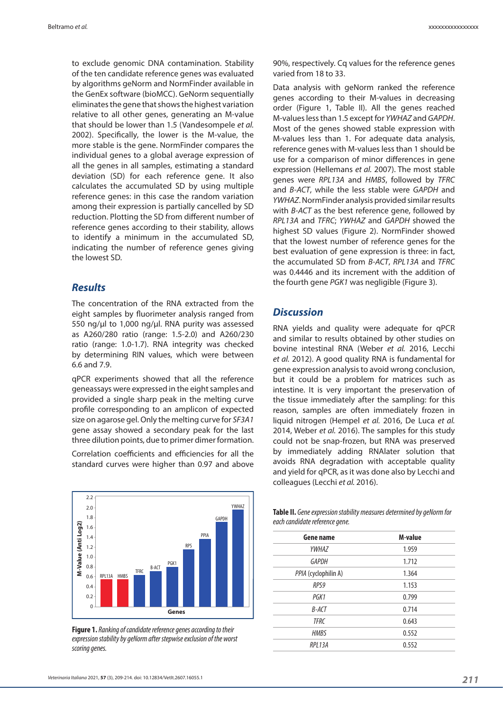to exclude genomic DNA contamination. Stability of the ten candidate reference genes was evaluated by algorithms geNorm and NormFinder available in the GenEx software (bioMCC). GeNorm sequentially eliminates the gene that shows the highest variation relative to all other genes, generating an M-value that should be lower than 1.5 (Vandesompele *et al.* 2002). Specifically, the lower is the M-value, the more stable is the gene. NormFinder compares the individual genes to a global average expression of all the genes in all samples, estimating a standard deviation (SD) for each reference gene. It also calculates the accumulated SD by using multiple reference genes: in this case the random variation among their expression is partially cancelled by SD reduction. Plotting the SD from different number of reference genes according to their stability, allows to identify a minimum in the accumulated SD, indicating the number of reference genes giving the lowest SD.

## *Results*

The concentration of the RNA extracted from the eight samples by fluorimeter analysis ranged from 550 ng/µl to 1,000 ng/µl. RNA purity was assessed as A260/280 ratio (range: 1.5-2.0) and A260/230 ratio (range: 1.0-1.7). RNA integrity was checked by determining RIN values, which were between 6.6 and 7.9.

qPCR experiments showed that all the reference geneassays were expressed in the eight samples and provided a single sharp peak in the melting curve profile corresponding to an amplicon of expected size on agarose gel. Only the melting curve for *SF3A1* gene assay showed a secondary peak for the last three dilution points, due to primer dimer formation.

Correlation coefficients and efficiencies for all the standard curves were higher than 0.97 and above



**Figure 1.** *Ranking of candidate reference genes according to their expression stability by geNorm after stepwise exclusion of the worst scoring genes.*

90%, respectively. Cq values for the reference genes varied from 18 to 33.

Data analysis with geNorm ranked the reference genes according to their M-values in decreasing order (Figure 1, Table II). All the genes reached M-values less than 1.5 except for *YWHAZ* and *GAPDH*. Most of the genes showed stable expression with M-values less than 1. For adequate data analysis, reference genes with M-values less than 1 should be use for a comparison of minor differences in gene expression (Hellemans *et al.* 2007). The most stable genes were *RPL13A* and *HMBS*, followed by *TFRC* and *B-ACT*, while the less stable were *GAPDH* and *YWHAZ*. NormFinder analysis provided similar results with *B-ACT* as the best reference gene, followed by *RPL13A* and *TFRC*; *YWHAZ* and *GAPDH* showed the highest SD values (Figure 2). NormFinder showed that the lowest number of reference genes for the best evaluation of gene expression is three: in fact, the accumulated SD from *B-ACT*, *RPL13A* and *TFRC* was 0.4446 and its increment with the addition of the fourth gene *PGK1* was negligible (Figure 3).

### *Discussion*

RNA yields and quality were adequate for qPCR and similar to results obtained by other studies on bovine intestinal RNA (Weber *et al.* 2016, Lecchi *et al.* 2012). A good quality RNA is fundamental for gene expression analysis to avoid wrong conclusion, but it could be a problem for matrices such as intestine. It is very important the preservation of the tissue immediately after the sampling: for this reason, samples are often immediately frozen in liquid nitrogen (Hempel *et al.* 2016, De Luca *et al.* 2014, Weber *et al.* 2016). The samples for this study could not be snap-frozen, but RNA was preserved by immediately adding RNAlater solution that avoids RNA degradation with acceptable quality and yield for qPCR, as it was done also by Lecchi and colleagues (Lecchi *et al.* 2016).

**Table II.** *Gene expression stability measures determined by geNorm for each candidate reference gene.*

| Gene name            | M-value |
|----------------------|---------|
| YWHAZ                | 1.959   |
| <b>GAPDH</b>         | 1.712   |
| PPIA (cyclophilin A) | 1.364   |
| RPS9                 | 1.153   |
| PGK1                 | 0.799   |
| B-ACT                | 0.714   |
| <b>TFRC</b>          | 0.643   |
| <b>HMBS</b>          | 0.552   |
| RPL13A               | 0.552   |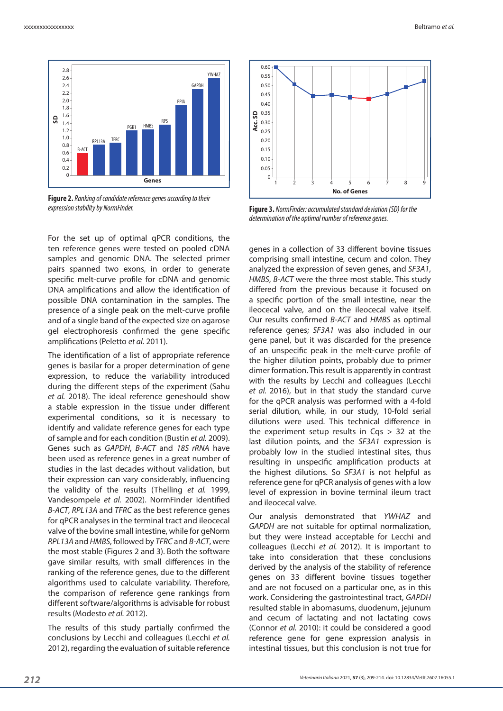

**Figure 2.** *Ranking of candidate reference genes according to their expression stability by NormFinder.*

For the set up of optimal qPCR conditions, the ten reference genes were tested on pooled cDNA samples and genomic DNA. The selected primer pairs spanned two exons, in order to generate specific melt-curve profile for cDNA and genomic DNA amplifications and allow the identification of possible DNA contamination in the samples. The presence of a single peak on the melt-curve profile and of a single band of the expected size on agarose gel electrophoresis confirmed the gene specific amplifications (Peletto *et al.* 2011).

The identification of a list of appropriate reference genes is basilar for a proper determination of gene expression, to reduce the variability introduced during the different steps of the experiment (Sahu *et al.* 2018). The ideal reference geneshould show a stable expression in the tissue under different experimental conditions, so it is necessary to identify and validate reference genes for each type of sample and for each condition (Bustin *et al.* 2009). Genes such as *GAPDH*, *B-ACT* and *18S rRNA* have been used as reference genes in a great number of studies in the last decades without validation, but their expression can vary considerably, influencing the validity of the results (Thelling *et al.* 1999, Vandesompele *et al.* 2002). NormFinder identified *B-ACT*, *RPL13A* and *TFRC* as the best reference genes for qPCR analyses in the terminal tract and ileocecal valve of the bovine small intestine, while for geNorm *RPL13A* and *HMBS*, followed by *TFRC* and *B-ACT*, were the most stable (Figures 2 and 3). Both the software gave similar results, with small differences in the ranking of the reference genes, due to the different algorithms used to calculate variability. Therefore, the comparison of reference gene rankings from different software/algorithms is advisable for robust results (Modesto *et al.* 2012).

The results of this study partially confirmed the conclusions by Lecchi and colleagues (Lecchi *et al.*  2012), regarding the evaluation of suitable reference



**Figure 3.** *NormFinder: accumulated standard deviation (SD) for the determination of the optimal number of reference genes.* 

genes in a collection of 33 different bovine tissues comprising small intestine, cecum and colon. They analyzed the expression of seven genes, and *SF3A1*, *HMBS*, *B-ACT* were the three most stable. This study differed from the previous because it focused on a specific portion of the small intestine, near the ileocecal valve, and on the ileocecal valve itself. Our results confirmed *B-ACT* and *HMBS* as optimal reference genes; *SF3A1* was also included in our gene panel, but it was discarded for the presence of an unspecific peak in the melt-curve profile of the higher dilution points, probably due to primer dimer formation. This result is apparently in contrast with the results by Lecchi and colleagues (Lecchi *et al.* 2016), but in that study the standard curve for the qPCR analysis was performed with a 4-fold serial dilution, while, in our study, 10-fold serial dilutions were used. This technical difference in the experiment setup results in  $\text{Cas} > 32$  at the last dilution points, and the *SF3A1* expression is probably low in the studied intestinal sites, thus resulting in unspecific amplification products at the highest dilutions. So *SF3A1* is not helpful as reference gene for qPCR analysis of genes with a low level of expression in bovine terminal ileum tract and ileocecal valve.

Our analysis demonstrated that *YWHAZ* and *GAPDH* are not suitable for optimal normalization, but they were instead acceptable for Lecchi and colleagues (Lecchi *et al.* 2012). It is important to take into consideration that these conclusions derived by the analysis of the stability of reference genes on 33 different bovine tissues together and are not focused on a particular one, as in this work. Considering the gastrointestinal tract, *GAPDH* resulted stable in abomasums, duodenum, jejunum and cecum of lactating and not lactating cows (Connor *et al.* 2010): it could be considered a good reference gene for gene expression analysis in intestinal tissues, but this conclusion is not true for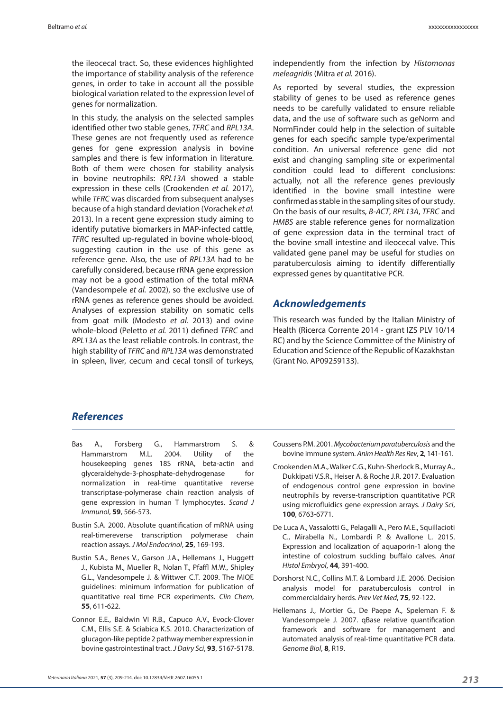the ileocecal tract. So, these evidences highlighted the importance of stability analysis of the reference genes, in order to take in account all the possible biological variation related to the expression level of genes for normalization.

In this study, the analysis on the selected samples identified other two stable genes, *TFRC* and *RPL13A*. These genes are not frequently used as reference genes for gene expression analysis in bovine samples and there is few information in literature. Both of them were chosen for stability analysis in bovine neutrophils: *RPL13A* showed a stable expression in these cells (Crookenden *et al.* 2017), while *TFRC* was discarded from subsequent analyses because of a high standard deviation (Vorachek *et al.* 2013). In a recent gene expression study aiming to identify putative biomarkers in MAP-infected cattle, *TFRC* resulted up-regulated in bovine whole-blood, suggesting caution in the use of this gene as reference gene. Also, the use of *RPL13A* had to be carefully considered, because rRNA gene expression may not be a good estimation of the total mRNA (Vandesompele *et al.* 2002), so the exclusive use of rRNA genes as reference genes should be avoided. Analyses of expression stability on somatic cells from goat milk (Modesto *et al.* 2013) and ovine whole-blood (Peletto *et al.* 2011) defined *TFRC* and *RPL13A* as the least reliable controls. In contrast, the high stability of *TFRC* and *RPL13A* was demonstrated in spleen, liver, cecum and cecal tonsil of turkeys,

independently from the infection by *Histomonas meleagridis* (Mitra *et al.* 2016).

As reported by several studies, the expression stability of genes to be used as reference genes needs to be carefully validated to ensure reliable data, and the use of software such as geNorm and NormFinder could help in the selection of suitable genes for each specific sample type/experimental condition. An universal reference gene did not exist and changing sampling site or experimental condition could lead to different conclusions: actually, not all the reference genes previously identified in the bovine small intestine were confirmed as stable in the sampling sites of our study. On the basis of our results, *B-ACT*, *RPL13A*, *TFRC* and *HMBS* are stable reference genes for normalization of gene expression data in the terminal tract of the bovine small intestine and ileocecal valve. This validated gene panel may be useful for studies on paratuberculosis aiming to identify differentially expressed genes by quantitative PCR.

### *Acknowledgements*

This research was funded by the Italian Ministry of Health (Ricerca Corrente 2014 - grant IZS PLV 10/14 RC) and by the Science Committee of the Ministry of Education and Science of the Republic of Kazakhstan (Grant No. AP09259133).

# *References*

- Bas A., Forsberg G., Hammarstrom S. & Hammarstrom M.L. 2004. Utility of the housekeeping genes 18S rRNA, beta-actin and glyceraldehyde-3-phosphate-dehydrogenase for normalization in real-time quantitative reverse transcriptase-polymerase chain reaction analysis of gene expression in human T lymphocytes. *Scand J Immunol*, **59**, 566-573.
- Bustin S.A. 2000. Absolute quantification of mRNA using real-timereverse transcription polymerase chain reaction assays. *J Mol Endocrinol*, **25**, 169-193.
- Bustin S.A., Benes V., Garson J.A., Hellemans J., Huggett J., Kubista M., Mueller R., Nolan T., Pfaffl M.W., Shipley G.L., Vandesompele J. & Wittwer C.T. 2009. The MIQE guidelines: minimum information for publication of quantitative real time PCR experiments. *Clin Chem*, **55**, 611-622.
- Connor E.E., Baldwin VI R.B., Capuco A.V., Evock-Clover C.M., Ellis S.E. & Sciabica K.S. 2010. Characterization of glucagon-like peptide 2 pathway member expression in bovine gastrointestinal tract. *J Dairy Sci*, **93**, 5167-5178.
- Coussens P.M. 2001. *Mycobacterium paratuberculosis* and the bovine immune system. *Anim Health Res Rev*, **2**, 141-161.
- Crookenden M.A., Walker C.G., Kuhn-Sherlock B., Murray A., Dukkipati V.S.R., Heiser A. & Roche J.R. 2017. Evaluation of endogenous control gene expression in bovine neutrophils by reverse-transcription quantitative PCR using microfluidics gene expression arrays. *J Dairy Sci*, **100**, 6763-6771.
- De Luca A., Vassalotti G., Pelagalli A., Pero M.E., Squillacioti C., Mirabella N., Lombardi P. & Avallone L. 2015. Expression and localization of aquaporin‐1 along the intestine of colostrum suckling buffalo calves. *Anat Histol Embryol*, **44**, 391-400.
- Dorshorst N.C., Collins M.T. & Lombard J.E. 2006. Decision analysis model for paratuberculosis control in commercialdairy herds. *Prev Vet Med*, **75**, 92-122.
- Hellemans J., Mortier G., De Paepe A., Speleman F. & Vandesompele J. 2007. qBase relative quantification framework and software for management and automated analysis of real-time quantitative PCR data. *Genome Biol*, **8**, R19.